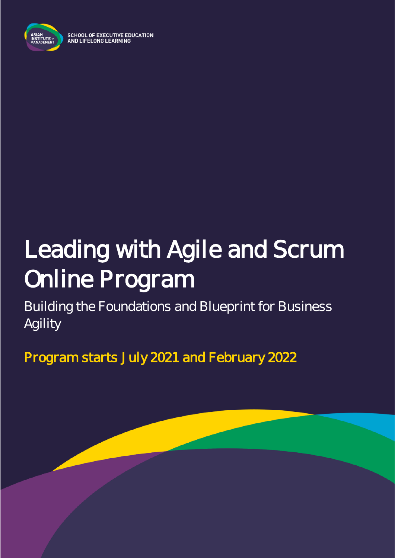

**SCHOOL OF EXECUTIVE EDUCATION** AND LIFELONG LEARNING

# Leading with Agile and Scrum Online Program

Building the Foundations and Blueprint for Business Agility

Program starts July 2021 and February 2022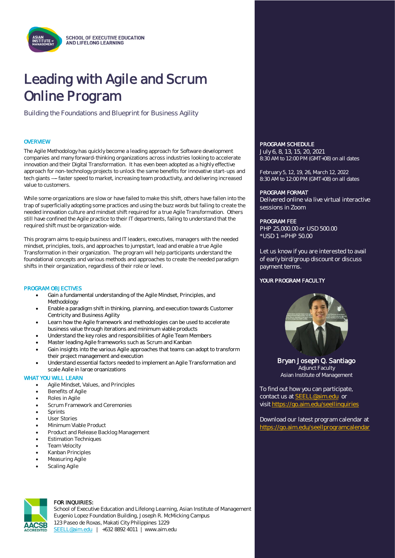# Leading with Agile and Scrum Online Program

Building the Foundations and Blueprint for Business Agility

#### **OVERVIEW**

 The Agile Methodology has quickly become a leading approach for Software development companies and many forward-thinking organizations across industries looking to accelerate innovation and their Digital Transformation. It has even been adopted as a highly effective approach for non-technology projects to unlock the same benefits for innovative start-ups and tech giants ----- faster speed to market, increasing team productivity, and delivering increased value to customers.

While some organizations are slow or have failed to make this shift, others have fallen into the trap of superficially adopting some practices and using the buzz words but failing to create the needed innovation culture and mindset shift required for a true Agile Transformation. Others still have confined the Agile practice to their IT departments, failing to understand that the required shift must be organization-wide.

This program aims to equip business and IT leaders, executives, managers with the needed mindset, principles, tools, and approaches to jumpstart, lead and enable a true Agile Transformation in their organization. The program will help participants understand the foundational concepts and various methods and approaches to create the needed paradigm shifts in their organization, regardless of their role or level.

#### PROGRAM OBJECTIVES

- Gain a fundamental understanding of the Agile Mindset, Principles, and Methodology
- Enable a paradigm shift in thinking, planning, and execution towards Customer Centricity and Business Agility
- Learn how the Agile framework and methodologies can be used to accelerate business value through iterations and minimum viable products
- Understand the key roles and responsibilities of Agile Team Members
- Master leading Agile frameworks such as Scrum and Kanban
- Gain insights into the various Agile approaches that teams can adopt to transform their project management and execution
- Understand essential factors needed to implement an Agile Transformation and scale Agile in large organizations

#### WHAT YOU WILL LEARN

- Agile Mindset, Values, and Principles
- Benefits of Agile
- Roles in Agile
- Scrum Framework and Ceremonies
- Sprints
- User Stories
- Minimum Viable Product
- Product and Release Backlog Management
- Estimation Techniques
- **Team Velocity**
- Kanban Principles
- Measuring Agile
- **Scaling Agile**



#### FOR INQUIRIES:

School of Executive Education and Lifelong Learning, Asian Institute of Management Eugenio Lopez Foundation Building, Joseph R. McMicking Campus 123 Paseo de Roxas, Makati City Philippines 1229 [SEELL@aim.edu](mailto:SEELL@aim.edu) | +632 8892 4011 | www.aim.edu

#### PROGRAM SCHEDULE

July 6, 8, 13, 15, 20, 2021 8:30 AM to 12:00 PM (GMT+08) on all dates

February 5, 12, 19, 26, March 12, 2022 8:30 AM to 12:00 PM (GMT+08) on all dates

#### PROGRAM FORMAT

Delivered online via live virtual interactive sessions in Zoom

#### PROGRAM FEE

PHP 25,000.00 or USD 500.00 \*USD 1 = PHP 50.00

Let us know if you are interested to avail of early bird/group discount or discuss payment terms.

#### YOUR PROGRAM FACULTY



Bryan Joseph Q. Santiago Adjunct Faculty Asian Institute of Management

To find out how you can participate, contact us at [SEELL@aim.edu](mailto:SEELL@aim.edu) or visit<https://go.aim.edu/seellinquiries>

Download our latest program calendar at <https://go.aim.edu/seellprogramcalendar>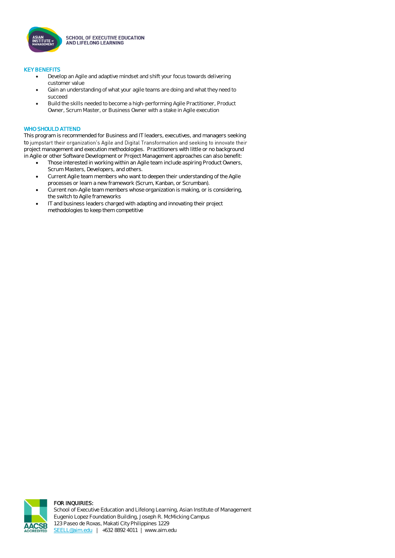

**SCHOOL OF EXECUTIVE EDUCATION** AND LIFELONG LEARNING

#### KEY BENEFITS

- Develop an Agile and adaptive mindset and shift your focus towards delivering customer value
- Gain an understanding of what your agile teams are doing and what they need to succeed
- Build the skills needed to become a high-performing Agile Practitioner, Product Owner, Scrum Master, or Business Owner with a stake in Agile execution

#### WHO SHOULD ATTEND

This program is recommended for Business and IT leaders, executives, and managers seeking to jumpstart their organization's Agile and Digital Transformation and seeking to innovate their project management and execution methodologies. Practitioners with little or no background in Agile or other Software Development or Project Management approaches can also benefit:

- Those interested in working within an Agile team include aspiring Product Owners, Scrum Masters, Developers, and others.
- Current Agile team members who want to deepen their understanding of the Agile processes or learn a new framework (Scrum, Kanban, or Scrumban).
- Current non-Agile team members whose organization is making, or is considering, the switch to Agile frameworks
- IT and business leaders charged with adapting and innovating their project methodologies to keep them competitive



#### FOR INQUIRIES: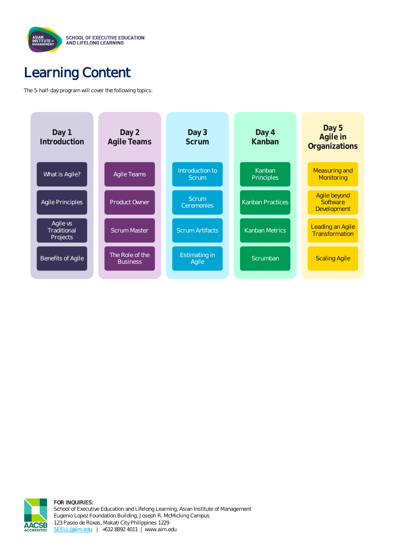

## Learning Content

The 5-half-day program will cover the following topics:





FOR INQUIRIES: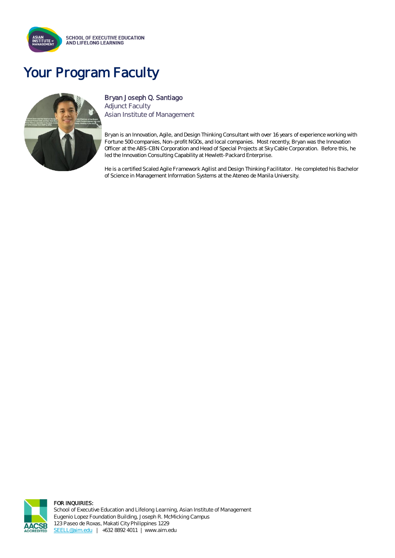

## Your Program Faculty



### Bryan Joseph Q. Santiago

Adjunct Faculty Asian Institute of Management

Bryan is an Innovation, Agile, and Design Thinking Consultant with over 16 years of experience working with Fortune 500 companies, Non-profit NGOs, and local companies. Most recently, Bryan was the Innovation Officer at the ABS-CBN Corporation and Head of Special Projects at Sky Cable Corporation. Before this, he led the Innovation Consulting Capability at Hewlett-Packard Enterprise.

He is a certified Scaled Agile Framework Agilist and Design Thinking Facilitator. He completed his Bachelor of Science in Management Information Systems at the Ateneo de Manila University.



#### FOR INQUIRIES: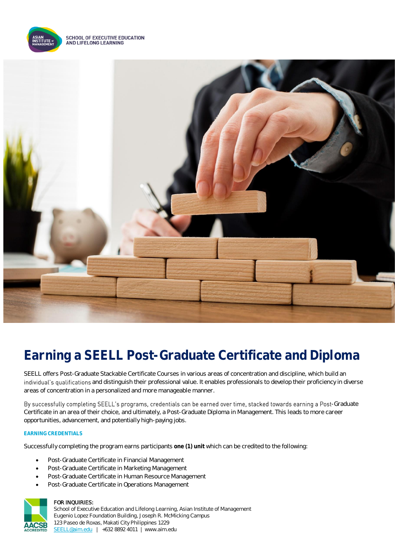

**SCHOOL OF EXECUTIVE EDUCATION** AND LIFELONG LEARNING



## **Earning a SEELL Post-Graduate Certificate and Diploma**

SEELL offers Post-Graduate Stackable Certificate Courses in various areas of concentration and discipline, which build an individual's qualifications and distinguish their professional value. It enables professionals to develop their proficiency in diverse areas of concentration in a personalized and more manageable manner.

By successfully completing SEELL's programs, credentials can be earned over time, stacked towards earning a Post-Graduate Certificate in an area of their choice, and ultimately, a Post-Graduate Diploma in Management. This leads to more career opportunities, advancement, and potentially high-paying jobs.

### **EARNING CREDENTIALS**

Successfully completing the program earns participants **one (1) unit** which can be credited to the following:

- Post-Graduate Certificate in Financial Management
- Post-Graduate Certificate in Marketing Management
- Post-Graduate Certificate in Human Resource Management
- Post-Graduate Certificate in Operations Management



#### FOR INQUIRIES: